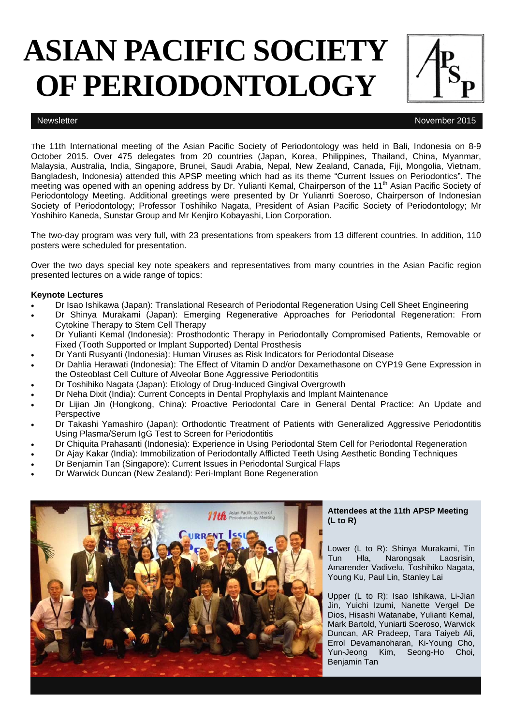# **ASIAN PACIFIC SOCIETY OF PERIODONTOLOGY**

Newsletter November 2015

The 11th International meeting of the Asian Pacific Society of Periodontology was held in Bali, Indonesia on 8-9 October 2015. Over 475 delegates from 20 countries (Japan, Korea, Philippines, Thailand, China, Myanmar, Malaysia, Australia, India, Singapore, Brunei, Saudi Arabia, Nepal, New Zealand, Canada, Fiji, Mongolia, Vietnam, Bangladesh, Indonesia) attended this APSP meeting which had as its theme "Current Issues on Periodontics". The meeting was opened with an opening address by Dr. Yulianti Kemal, Chairperson of the 11<sup>th</sup> Asian Pacific Society of Periodontology Meeting. Additional greetings were presented by Dr Yulianrti Soeroso, Chairperson of Indonesian Society of Periodontology; Professor Toshihiko Nagata, President of Asian Pacific Society of Periodontology; Mr Yoshihiro Kaneda, Sunstar Group and Mr Kenjiro Kobayashi, Lion Corporation.

The two-day program was very full, with 23 presentations from speakers from 13 different countries. In addition, 110 posters were scheduled for presentation.

Over the two days special key note speakers and representatives from many countries in the Asian Pacific region presented lectures on a wide range of topics:

### **Keynote Lectures**

- Dr Isao Ishikawa (Japan): Translational Research of Periodontal Regeneration Using Cell Sheet Engineering
- Dr Shinya Murakami (Japan): Emerging Regenerative Approaches for Periodontal Regeneration: From Cytokine Therapy to Stem Cell Therapy
- Dr Yulianti Kemal (Indonesia): Prosthodontic Therapy in Periodontally Compromised Patients, Removable or Fixed (Tooth Supported or Implant Supported) Dental Prosthesis
- Dr Yanti Rusyanti (Indonesia): Human Viruses as Risk Indicators for Periodontal Disease
- Dr Dahlia Herawati (Indonesia): The Effect of Vitamin D and/or Dexamethasone on CYP19 Gene Expression in the Osteoblast Cell Culture of Alveolar Bone Aggressive Periodontitis
- Dr Toshihiko Nagata (Japan): Etiology of Drug-Induced Gingival Overgrowth
- Dr Neha Dixit (India): Current Concepts in Dental Prophylaxis and Implant Maintenance
- Dr Lijian Jin (Hongkong, China): Proactive Periodontal Care in General Dental Practice: An Update and **Perspective**
- Dr Takashi Yamashiro (Japan): Orthodontic Treatment of Patients with Generalized Aggressive Periodontitis Using Plasma/Serum IgG Test to Screen for Periodontitis
- Dr Chiquita Prahasanti (Indonesia): Experience in Using Periodontal Stem Cell for Periodontal Regeneration
- Dr Ajay Kakar (India): Immobilization of Periodontally Afflicted Teeth Using Aesthetic Bonding Techniques
- Dr Benjamin Tan (Singapore): Current Issues in Periodontal Surgical Flaps
- Dr Warwick Duncan (New Zealand): Peri-Implant Bone Regeneration



### **Attendees at the 11th APSP Meeting (L to R)**

Lower (L to R): Shinya Murakami, Tin Tun Hla, Narongsak Laosrisin, Amarender Vadivelu, Toshihiko Nagata, Young Ku, Paul Lin, Stanley Lai

Upper (L to R): Isao Ishikawa, Li-Jian Jin, Yuichi Izumi, Nanette Vergel De Dios, Hisashi Watanabe, Yulianti Kemal, Mark Bartold, Yuniarti Soeroso, Warwick Duncan, AR Pradeep, Tara Taiyeb Ali, Errol Devamanoharan, Ki-Young Cho, Yun-Jeong Kim, Seong-Ho Choi, Benjamin Tan